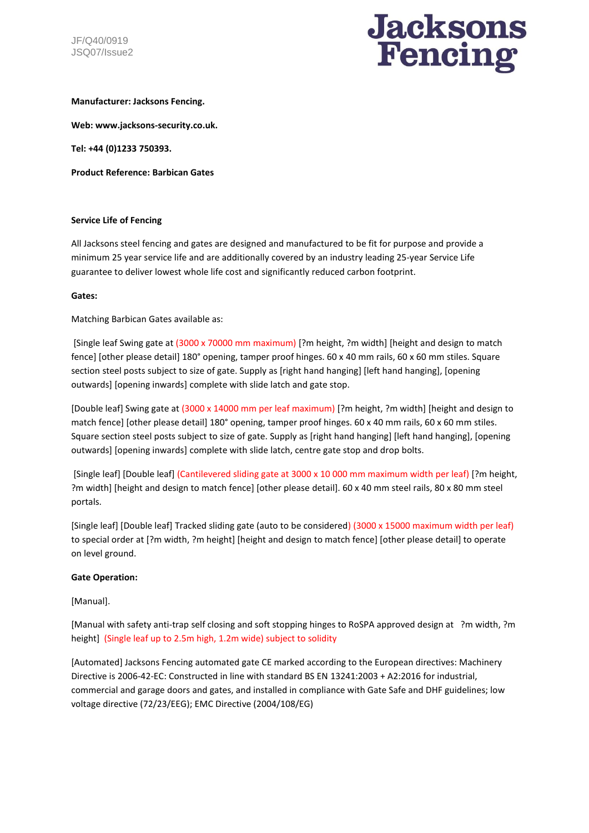

# **Manufacturer: Jacksons Fencing.**

**Web: www.jacksons-security.co.uk.** 

**Tel: +44 (0)1233 750393.** 

**Product Reference: Barbican Gates**

# **Service Life of Fencing**

All Jacksons steel fencing and gates are designed and manufactured to be fit for purpose and provide a minimum 25 year service life and are additionally covered by an industry leading 25-year Service Life guarantee to deliver lowest whole life cost and significantly reduced carbon footprint.

#### **Gates:**

Matching Barbican Gates available as:

[Single leaf Swing gate at (3000 x 70000 mm maximum) [?m height, ?m width] [height and design to match fence] [other please detail] 180° opening, tamper proof hinges. 60 x 40 mm rails, 60 x 60 mm stiles. Square section steel posts subject to size of gate. Supply as [right hand hanging] [left hand hanging], [opening outwards] [opening inwards] complete with slide latch and gate stop.

[Double leaf] Swing gate at (3000 x 14000 mm per leaf maximum) [?m height, ?m width] [height and design to match fence] [other please detail] 180° opening, tamper proof hinges. 60 x 40 mm rails, 60 x 60 mm stiles. Square section steel posts subject to size of gate. Supply as [right hand hanging] [left hand hanging], [opening outwards] [opening inwards] complete with slide latch, centre gate stop and drop bolts.

[Single leaf] [Double leaf] (Cantilevered sliding gate at 3000 x 10 000 mm maximum width per leaf) [?m height, ?m width] [height and design to match fence] [other please detail]. 60 x 40 mm steel rails, 80 x 80 mm steel portals.

[Single leaf] [Double leaf] Tracked sliding gate (auto to be considered) (3000 x 15000 maximum width per leaf) to special order at [?m width, ?m height] [height and design to match fence] [other please detail] to operate on level ground.

# **Gate Operation:**

# [Manual].

[Manual with safety anti-trap self closing and soft stopping hinges to RoSPA approved design at ?m width, ?m height] (Single leaf up to 2.5m high, 1.2m wide) subject to solidity

[Automated] Jacksons Fencing automated gate CE marked according to the European directives: Machinery Directive is 2006-42-EC: Constructed in line with standard BS EN 13241:2003 + A2:2016 for industrial, commercial and garage doors and gates, and installed in compliance with Gate Safe and DHF guidelines; low voltage directive (72/23/EEG); EMC Directive (2004/108/EG)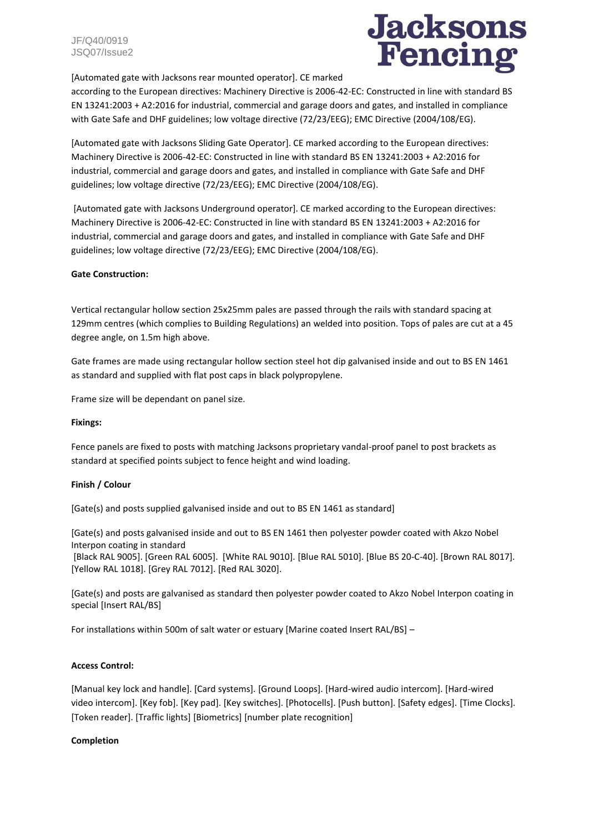

[Automated gate with Jacksons rear mounted operator]. CE marked

according to the European directives: Machinery Directive is 2006-42-EC: Constructed in line with standard BS EN 13241:2003 + A2:2016 for industrial, commercial and garage doors and gates, and installed in compliance with Gate Safe and DHF guidelines; low voltage directive (72/23/EEG); EMC Directive (2004/108/EG).

[Automated gate with Jacksons Sliding Gate Operator]. CE marked according to the European directives: Machinery Directive is 2006-42-EC: Constructed in line with standard BS EN 13241:2003 + A2:2016 for industrial, commercial and garage doors and gates, and installed in compliance with Gate Safe and DHF guidelines; low voltage directive (72/23/EEG); EMC Directive (2004/108/EG).

[Automated gate with Jacksons Underground operator]. CE marked according to the European directives: Machinery Directive is 2006-42-EC: Constructed in line with standard BS EN 13241:2003 + A2:2016 for industrial, commercial and garage doors and gates, and installed in compliance with Gate Safe and DHF guidelines; low voltage directive (72/23/EEG); EMC Directive (2004/108/EG).

# **Gate Construction:**

Vertical rectangular hollow section 25x25mm pales are passed through the rails with standard spacing at 129mm centres (which complies to Building Regulations) an welded into position. Tops of pales are cut at a 45 degree angle, on 1.5m high above.

Gate frames are made using rectangular hollow section steel hot dip galvanised inside and out to BS EN 1461 as standard and supplied with flat post caps in black polypropylene.

Frame size will be dependant on panel size.

# **Fixings:**

Fence panels are fixed to posts with matching Jacksons proprietary vandal-proof panel to post brackets as standard at specified points subject to fence height and wind loading.

# **Finish / Colour**

[Gate(s) and posts supplied galvanised inside and out to BS EN 1461 as standard]

[Gate(s) and posts galvanised inside and out to BS EN 1461 then polyester powder coated with Akzo Nobel Interpon coating in standard

[Black RAL 9005]. [Green RAL 6005]. [White RAL 9010]. [Blue RAL 5010]. [Blue BS 20-C-40]. [Brown RAL 8017]. [Yellow RAL 1018]. [Grey RAL 7012]. [Red RAL 3020].

[Gate(s) and posts are galvanised as standard then polyester powder coated to Akzo Nobel Interpon coating in special [Insert RAL/BS]

For installations within 500m of salt water or estuary [Marine coated Insert RAL/BS] –

# **Access Control:**

[Manual key lock and handle]. [Card systems]. [Ground Loops]. [Hard-wired audio intercom]. [Hard-wired video intercom]. [Key fob]. [Key pad]. [Key switches]. [Photocells]. [Push button]. [Safety edges]. [Time Clocks]. [Token reader]. [Traffic lights] [Biometrics] [number plate recognition]

# **Completion**